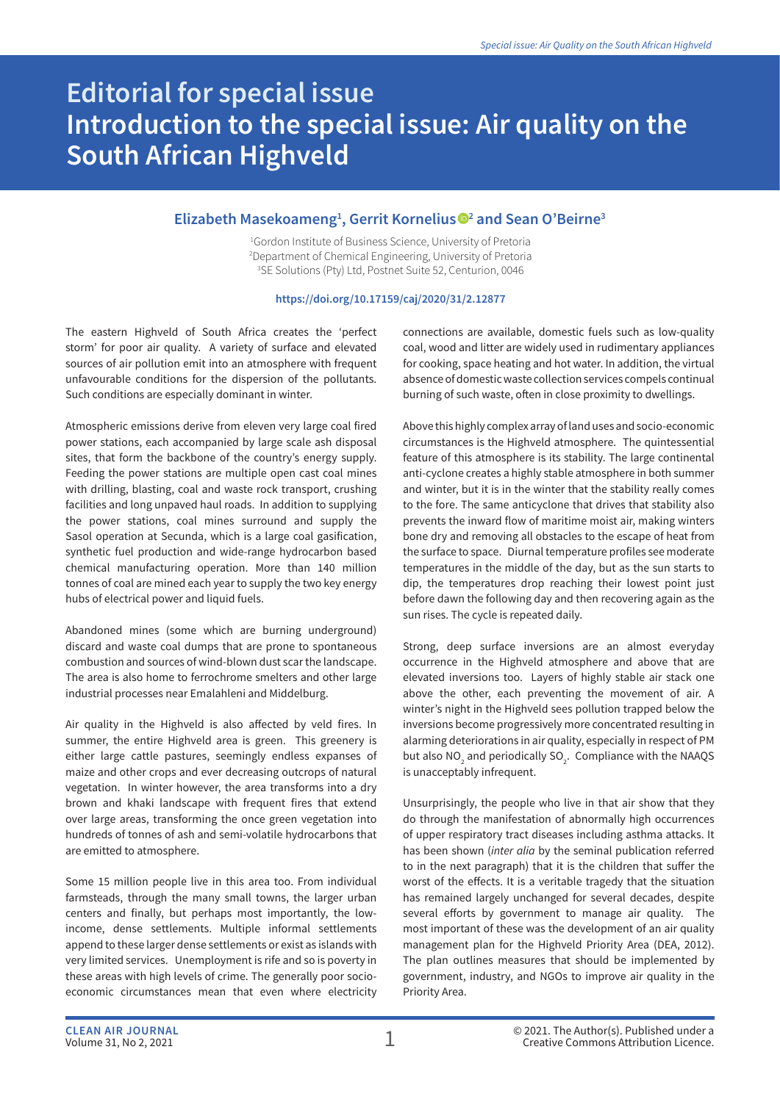## **Editorial for special issue Introduction to the special issue: Air quality on the South African Highveld**

## **Elizabeth Masekoameng1 , Gerrit Kornelius 2 and Sean O'Beirne3**

1 Gordon Institute of Business Science, University of Pretoria 2 Department of Chemical Engineering, University of Pretoria 3 SE Solutions (Pty) Ltd, Postnet Suite 52, Centurion, 0046

## **https://doi.org/10.17159/caj/2020/31/2.12877**

The eastern Highveld of South Africa creates the 'perfect storm' for poor air quality. A variety of surface and elevated sources of air pollution emit into an atmosphere with frequent unfavourable conditions for the dispersion of the pollutants. Such conditions are especially dominant in winter.

Atmospheric emissions derive from eleven very large coal fired power stations, each accompanied by large scale ash disposal sites, that form the backbone of the country's energy supply. Feeding the power stations are multiple open cast coal mines with drilling, blasting, coal and waste rock transport, crushing facilities and long unpaved haul roads. In addition to supplying the power stations, coal mines surround and supply the Sasol operation at Secunda, which is a large coal gasification, synthetic fuel production and wide-range hydrocarbon based chemical manufacturing operation. More than 140 million tonnes of coal are mined each year to supply the two key energy hubs of electrical power and liquid fuels.

Abandoned mines (some which are burning underground) discard and waste coal dumps that are prone to spontaneous combustion and sources of wind-blown dust scar the landscape. The area is also home to ferrochrome smelters and other large industrial processes near Emalahleni and Middelburg.

Air quality in the Highveld is also affected by veld fires. In summer, the entire Highveld area is green. This greenery is either large cattle pastures, seemingly endless expanses of maize and other crops and ever decreasing outcrops of natural vegetation. In winter however, the area transforms into a dry brown and khaki landscape with frequent fires that extend over large areas, transforming the once green vegetation into hundreds of tonnes of ash and semi-volatile hydrocarbons that are emitted to atmosphere.

Some 15 million people live in this area too. From individual farmsteads, through the many small towns, the larger urban centers and finally, but perhaps most importantly, the lowincome, dense settlements. Multiple informal settlements append to these larger dense settlements or exist as islands with very limited services. Unemployment is rife and so is poverty in these areas with high levels of crime. The generally poor socioeconomic circumstances mean that even where electricity

connections are available, domestic fuels such as low-quality coal, wood and litter are widely used in rudimentary appliances for cooking, space heating and hot water. In addition, the virtual absence of domestic waste collection services compels continual burning of such waste, often in close proximity to dwellings.

Above this highly complex array of land uses and socio-economic circumstances is the Highveld atmosphere. The quintessential feature of this atmosphere is its stability. The large continental anti-cyclone creates a highly stable atmosphere in both summer and winter, but it is in the winter that the stability really comes to the fore. The same anticyclone that drives that stability also prevents the inward flow of maritime moist air, making winters bone dry and removing all obstacles to the escape of heat from the surface to space. Diurnal temperature profiles see moderate temperatures in the middle of the day, but as the sun starts to dip, the temperatures drop reaching their lowest point just before dawn the following day and then recovering again as the sun rises. The cycle is repeated daily.

Strong, deep surface inversions are an almost everyday occurrence in the Highveld atmosphere and above that are elevated inversions too. Layers of highly stable air stack one above the other, each preventing the movement of air. A winter's night in the Highveld sees pollution trapped below the inversions become progressively more concentrated resulting in alarming deteriorations in air quality, especially in respect of PM but also  $NO_2$  and periodically  $SO_2$ . Compliance with the NAAQS is unacceptably infrequent.

Unsurprisingly, the people who live in that air show that they do through the manifestation of abnormally high occurrences of upper respiratory tract diseases including asthma attacks. It has been shown (*inter alia* by the seminal publication referred to in the next paragraph) that it is the children that suffer the worst of the effects. It is a veritable tragedy that the situation has remained largely unchanged for several decades, despite several efforts by government to manage air quality. The most important of these was the development of an air quality management plan for the Highveld Priority Area (DEA, 2012). The plan outlines measures that should be implemented by government, industry, and NGOs to improve air quality in the Priority Area.